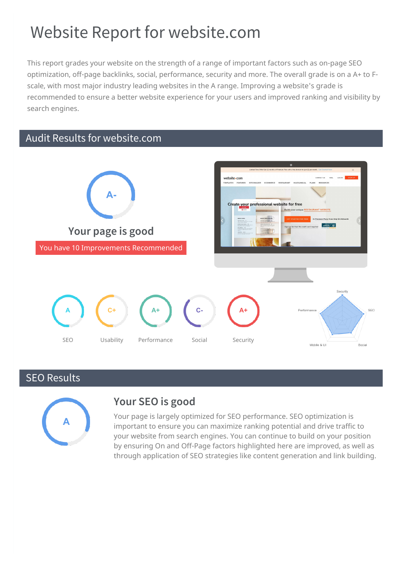# Website Report for website.com

This report grades your website on the strength of a range of important factors such as on-page SEO optimization, off-page backlinks, social, performance, security and more. The overall grade is on a A+ to Fscale, with most major industry leading websites in the A range. Improving a website's grade is recommended to ensure a better website experience for your users and improved ranking and visibility by search engines.

# Audit Results for website.com



# SEO Results



# **Your SEO is good**

Your page is largely optimized for SEO performance. SEO optimization is important to ensure you can maximize ranking potential and drive traffic to your website from search engines. You can continue to build on your position by ensuring On and Off-Page factors highlighted here are improved, as well as through application of SEO strategies like content generation and link building.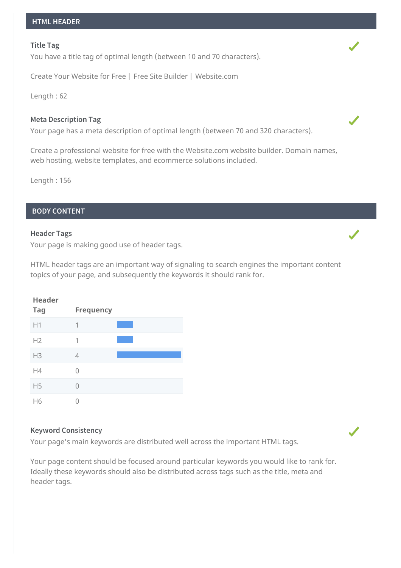#### **Title Tag**

You have a title tag of optimal length (between 10 and 70 characters).

Create Your Website for Free | Free Site Builder | Website.com

Length : 62

# **Meta Description Tag**

Your page has a meta description of optimal length (between 70 and 320 characters).

Create a professional website for free with the Website.com website builder. Domain names, web hosting, website templates, and ecommerce solutions included.

Length : 156

# **BODY CONTENT**

#### **Header Tags**

Your page is making good use of header tags.

HTML header tags are an important way of signaling to search engines the important content topics of your page, and subsequently the keywords it should rank for.

| <b>Header</b>  |                  |  |
|----------------|------------------|--|
| <b>Tag</b>     | <b>Frequency</b> |  |
| H1             | 1                |  |
| H2             | 1                |  |
| H <sub>3</sub> | 4                |  |
| H4             | 0                |  |
| H <sub>5</sub> | 0                |  |
| H6             |                  |  |

# **Keyword Consistency**

Your page's main keywords are distributed well across the important HTML tags.

Your page content should be focused around particular keywords you would like to rank for. Ideally these keywords should also be distributed across tags such as the title, meta and header tags.

 $\checkmark$ 



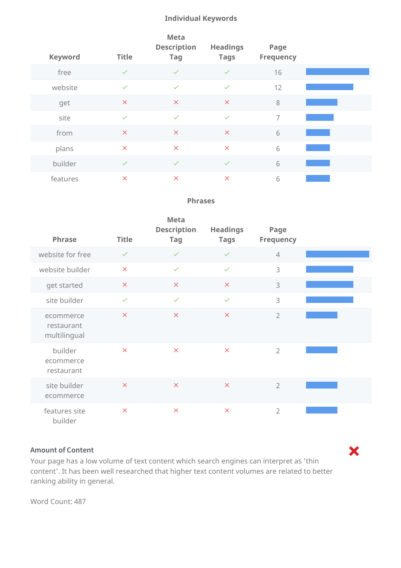# **Individual Keywords**

| <b>Keyword</b> | <b>Title</b>              | <b>Meta</b><br><b>Description</b><br><b>Tag</b> | <b>Headings</b><br><b>Tags</b> | Page<br><b>Frequency</b> |  |
|----------------|---------------------------|-------------------------------------------------|--------------------------------|--------------------------|--|
| free           | $\checkmark$              | $\checkmark$                                    | $\checkmark$                   | 16                       |  |
| website        | $\checkmark$              | $\checkmark$                                    | $\checkmark$                   | 12                       |  |
| get            | $\times$                  | $\times$                                        | $\pmb{\times}$                 | 8                        |  |
| site           | $\checkmark$              | $\checkmark$                                    | $\checkmark$                   | $\overline{7}$           |  |
| from           | $\times$                  | $\pmb{\times}$                                  | $\pmb{\times}$                 | 6                        |  |
| plans          | $\boldsymbol{\mathsf{x}}$ | $\boldsymbol{\mathsf{x}}$                       | $\pmb{\times}$                 | 6                        |  |
| builder        | $\checkmark$              | $\checkmark$                                    | $\checkmark$                   | 6                        |  |
| features       | $\times$                  | $\times$                                        | $\boldsymbol{\mathsf{x}}$      | 6                        |  |

# **Phrases**

|  | <b>Phrase</b>                           | <b>Title</b>            | <b>Meta</b><br><b>Description</b><br><b>Tag</b> | <b>Headings</b><br><b>Tags</b> | Page<br><b>Frequency</b> |  |
|--|-----------------------------------------|-------------------------|-------------------------------------------------|--------------------------------|--------------------------|--|
|  | website for free                        | $\checkmark$            | $\checkmark$                                    | $\checkmark$                   | $\overline{4}$           |  |
|  | website builder                         | $\overline{\mathsf{x}}$ | $\checkmark$                                    | $\checkmark$                   | 3                        |  |
|  | get started                             | $\pmb{\times}$          | $\boldsymbol{\times}$                           | $\times$                       | 3                        |  |
|  | site builder                            | $\checkmark$            | $\checkmark$                                    | $\checkmark$                   | 3                        |  |
|  | ecommerce<br>restaurant<br>multilingual | $\times$                | $\times$                                        | $\times$                       | $\overline{2}$           |  |
|  | builder<br>ecommerce<br>restaurant      | $\times$                | $\boldsymbol{\times}$                           | $\times$                       | $\overline{2}$           |  |
|  | site builder<br>ecommerce               | $\times$                | $\boldsymbol{\times}$                           | $\boldsymbol{\mathsf{x}}$      | $\overline{2}$           |  |
|  | features site<br>builder                | $\times$                | $\times$                                        | $\times$                       | $\overline{2}$           |  |

# **Amount of Content**

Your page has a low volume of text content which search engines can interpret as 'thin content'. It has been well researched that higher text content volumes are related to better ranking ability in general.

X

Word Count: 487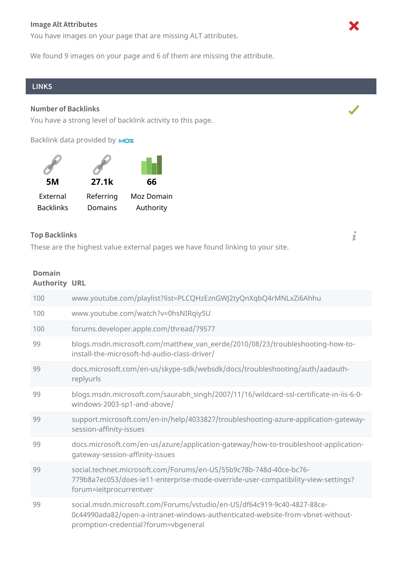# **Image Alt Attributes**

You have images on your page that are missing ALT attributes.

We found 9 images on your page and 6 of them are missing the attribute.

### **LINKS**

#### **Number of Backlinks**

You have a strong level of backlink activity to this page.

Backlink data provided by **MOZ** 



#### **Top Backlinks**

These are the highest value external pages we have found linking to your site.

#### **Domain Authority URL**

| 100 | www.youtube.com/playlist?list=PLCQHzEznGWJ2tyQnXqbQ4rMNLxZi6Ahhu                                                                                                                                  |
|-----|---------------------------------------------------------------------------------------------------------------------------------------------------------------------------------------------------|
| 100 | www.youtube.com/watch?v=0hsNIRqiySU                                                                                                                                                               |
| 100 | forums.developer.apple.com/thread/79577                                                                                                                                                           |
| 99  | blogs.msdn.microsoft.com/matthew_van_eerde/2010/08/23/troubleshooting-how-to-<br>install-the-microsoft-hd-audio-class-driver/                                                                     |
| 99  | docs.microsoft.com/en-us/skype-sdk/websdk/docs/troubleshooting/auth/aadauth-<br>replyurls                                                                                                         |
| 99  | blogs.msdn.microsoft.com/saurabh_singh/2007/11/16/wildcard-ssl-certificate-in-iis-6-0-<br>windows-2003-sp1-and-above/                                                                             |
| 99  | support.microsoft.com/en-in/help/4033827/troubleshooting-azure-application-gateway-<br>session-affinity-issues                                                                                    |
| 99  | docs.microsoft.com/en-us/azure/application-gateway/how-to-troubleshoot-application-<br>gateway-session-affinity-issues                                                                            |
| 99  | social.technet.microsoft.com/Forums/en-US/55b9c78b-748d-40ce-bc76-<br>779b8a7ec053/does-ie11-enterprise-mode-override-user-compatibility-view-settings?<br>forum=ieitprocurrentver                |
| 99  | social.msdn.microsoft.com/Forums/vstudio/en-US/df64c919-9c40-4827-88ce-<br>0c44990ada82/open-a-intranet-windows-authenticated-website-from-vbnet-without-<br>promption-credential?forum=vbgeneral |



i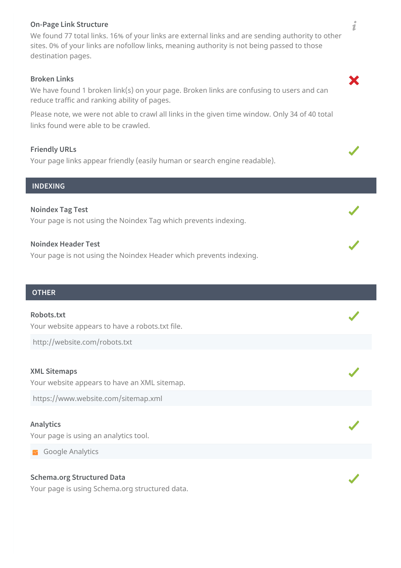# **On-Page Link Structure**

We found 77 total links. 16% of your links are external links and are sending authority to other sites. 0% of your links are nofollow links, meaning authority is not being passed to those destination pages.

# **Broken Links**

We have found 1 broken link(s) on your page. Broken links are confusing to users and can reduce traffic and ranking ability of pages.

Please note, we were not able to crawl all links in the given time window. Only 34 of 40 total links found were able to be crawled.

#### **Friendly URLs**

Your page links appear friendly (easily human or search engine readable).

#### **INDEXING**

**Noindex Tag Test** Your page is not using the Noindex Tag which prevents indexing.

#### **Noindex Header Test**

Your page is not using the Noindex Header which prevents indexing.

# **OTHER**

#### **Robots.txt**

Your website appears to have a robots.txt file.

http://website.com/robots.txt

#### **XML Sitemaps**

Your website appears to have an XML sitemap.

https://www.website.com/sitemap.xml

# **Analytics**

Your page is using an analytics tool.

**Google Analytics** 

# **Schema.org Structured Data**

Your page is using Schema.org structured data.

 $\boldsymbol{i}$ 

X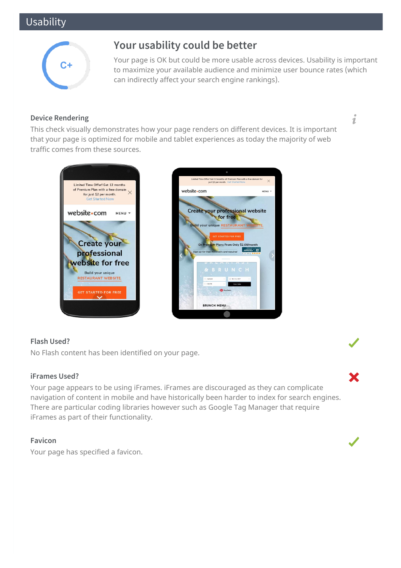# Usability



# **Your usability could be better**

Your page is OK but could be more usable across devices. Usability is important to maximize your available audience and minimize user bounce rates (which can indirectly affect your search engine rankings).

# **Device Rendering**

This check visually demonstrates how your page renders on different devices. It is important that your page is optimized for mobile and tablet experiences as today the majority of web traffic comes from these sources.





# **Flash Used?**

No Flash content has been identified on your page.

# **iFrames Used?**

Your page appears to be using iFrames. iFrames are discouraged as they can complicate navigation of content in mobile and have historically been harder to index for search engines. There are particular coding libraries however such as Google Tag Manager that require iFrames as part of their functionality.

# **Favicon**

Your page has specified a favicon.



i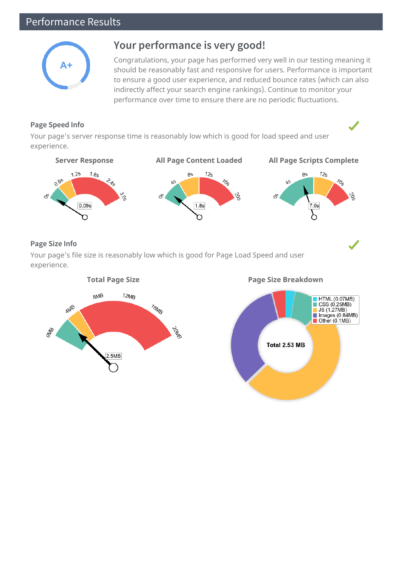# Performance Results



# **Your performance is very good!**

Congratulations, your page has performed very well in our testing meaning it should be reasonably fast and responsive for users. Performance is important to ensure a good user experience, and reduced bounce rates (which can also indirectly affect your search engine rankings). Continue to monitor your performance over time to ensure there are no periodic fluctuations.

# **Page Speed Info**

Your page's server response time is reasonably low which is good for load speed and user experience.



# **Page Size Info**

Your page's file size is reasonably low which is good for Page Load Speed and user experience.





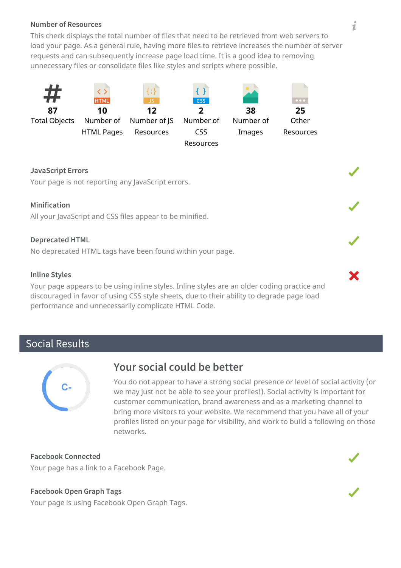# **Number of Resources**

This check displays the total number of files that need to be retrieved from web servers to load your page. As a general rule, having more files to retrieve increases the number of server requests and can subsequently increase page load time. It is a good idea to removing unnecessary files or consolidate files like styles and scripts where possible.



# **JavaScript Errors**

Your page is not reporting any JavaScript errors.

# **Minification**

All your JavaScript and CSS files appear to be minified.

#### **Deprecated HTML**

No deprecated HTML tags have been found within your page.

# **Inline Styles**

Your page appears to be using inline styles. Inline styles are an older coding practice and discouraged in favor of using CSS style sheets, due to their ability to degrade page load performance and unnecessarily complicate HTML Code.

# Social Results



# **Your social could be better**

You do not appear to have a strong social presence or level of social activity (or we may just not be able to see your profiles!). Social activity is important for customer communication, brand awareness and as a marketing channel to bring more visitors to your website. We recommend that you have all of your profiles listed on your page for visibility, and work to build a following on those networks.

**Facebook Connected**

Your page has a link to a Facebook Page.

#### **Facebook Open Graph Tags**

Your page is using Facebook Open Graph Tags.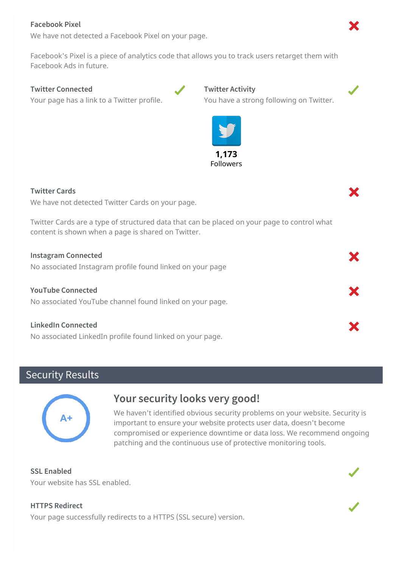# **Facebook Pixel**

We have not detected a Facebook Pixel on your page.

Facebook's Pixel is a piece of analytics code that allows you to track users retarget them with Facebook Ads in future.

# **Twitter Connected**

Your page has a link to a Twitter profile.





# **Twitter Cards**

We have not detected Twitter Cards on your page.

Twitter Cards are a type of structured data that can be placed on your page to control what content is shown when a page is shared on Twitter.

| <b>Instagram Connected</b> |  |
|----------------------------|--|
|----------------------------|--|

No associated Instagram profile found linked on your page

**YouTube Connected** No associated YouTube channel found linked on your page.

# **LinkedIn Connected**

No associated LinkedIn profile found linked on your page.

# Security Results



# **Your security looks very good!**

We haven't identified obvious security problems on your website. Security is important to ensure your website protects user data, doesn't become compromised or experience downtime or data loss. We recommend ongoing patching and the continuous use of protective monitoring tools.

**SSL Enabled** Your website has SSL enabled.

# **HTTPS Redirect**

Your page successfully redirects to a HTTPS (SSL secure) version.





X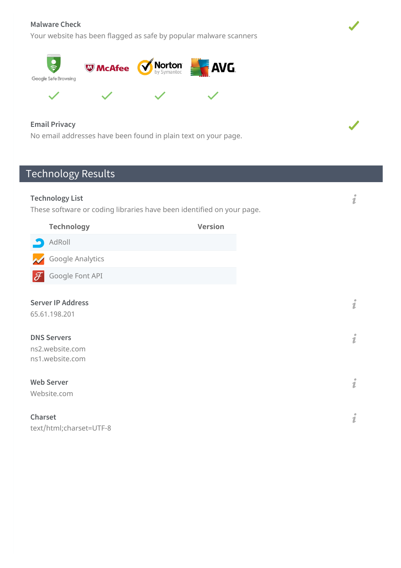# **Malware Check**

Your website has been flagged as safe by popular malware scanners



 $\blacklozenge$ 



# **Email Privacy**

No email addresses have been found in plain text on your page.

# Technology Results

| <b>Technology List</b><br>These software or coding libraries have been identified on your page. |                                                                                                       |                | i |        |
|-------------------------------------------------------------------------------------------------|-------------------------------------------------------------------------------------------------------|----------------|---|--------|
|                                                                                                 | <b>Technology</b>                                                                                     | <b>Version</b> |   |        |
|                                                                                                 | AdRoll                                                                                                |                |   |        |
|                                                                                                 | Google Analytics                                                                                      |                |   |        |
| $\mathscr F$                                                                                    | Google Font API                                                                                       |                |   |        |
|                                                                                                 | <b>Server IP Address</b><br>65.61.198.201<br><b>DNS Servers</b><br>ns2.website.com<br>ns1.website.com |                |   | i<br>i |
|                                                                                                 | <b>Web Server</b><br>Website.com                                                                      |                |   | i      |
| Charset                                                                                         | text/html;charset=UTF-8                                                                               |                |   | i      |